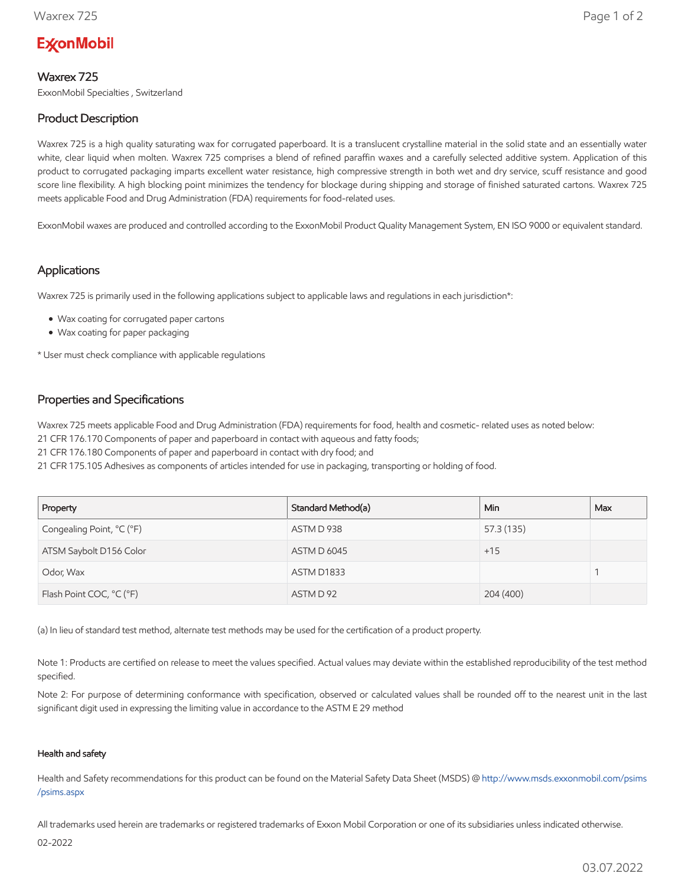# **ExconMobil**

### Waxrex 725

ExxonMobil Specialties , Switzerland

## Product Description

Waxrex 725 is a high quality saturating wax for corrugated paperboard. It is a translucent crystalline material in the solid state and an essentially water white, clear liquid when molten. Waxrex 725 comprises a blend of refined paraffin waxes and a carefully selected additive system. Application of this product to corrugated packaging imparts excellent water resistance, high compressive strength in both wet and dry service, scuff resistance and good score line flexibility. A high blocking point minimizes the tendency for blockage during shipping and storage of finished saturated cartons. Waxrex 725 meets applicable Food and Drug Administration (FDA) requirements for food-related uses.

ExxonMobil waxes are produced and controlled according to the ExxonMobil Product Quality Management System, EN ISO 9000 or equivalent standard.

#### Applications

Waxrex 725 is primarily used in the following applications subject to applicable laws and regulations in each jurisdiction\*:

- Wax coating for corrugated paper cartons
- Wax coating for paper packaging

\* User must check compliance with applicable regulations

#### Properties and Specifications

Waxrex 725 meets applicable Food and Drug Administration (FDA) requirements for food, health and cosmetic- related uses as noted below:

21 CFR 176.170 Components of paper and paperboard in contact with aqueous and fatty foods;

21 CFR 176.180 Components of paper and paperboard in contact with dry food; and

21 CFR 175.105 Adhesives as components of articles intended for use in packaging, transporting or holding of food.

| Property                  | Standard Method(a) | Min.       | Max |
|---------------------------|--------------------|------------|-----|
| Congealing Point, °C (°F) | ASTM D 938         | 57.3 (135) |     |
| ATSM Saybolt D156 Color   | <b>ASTM D 6045</b> | $+15$      |     |
| Odor, Wax                 | ASTM D1833         |            |     |
| Flash Point COC, °C (°F)  | ASTM D 92          | 204 (400)  |     |

(a) In lieu of standard test method, alternate test methods may be used for the certification of a product property.

Note 1: Products are certified on release to meet the values specified. Actual values may deviate within the established reproducibility of the test method specified.

Note 2: For purpose of determining conformance with specification, observed or calculated values shall be rounded off to the nearest unit in the last significant digit used in expressing the limiting value in accordance to the ASTM E 29 method

#### Health and safety

Health and Safety recommendations for this product can be found on the Material Safety Data Sheet (MSDS) @ [http://www.msds.exxonmobil.com/psims](http://www.msds.exxonmobil.com/psims/psims.aspx) /psims.aspx

All trademarks used herein are trademarks or registered trademarks of Exxon Mobil Corporation or one of its subsidiaries unless indicated otherwise.